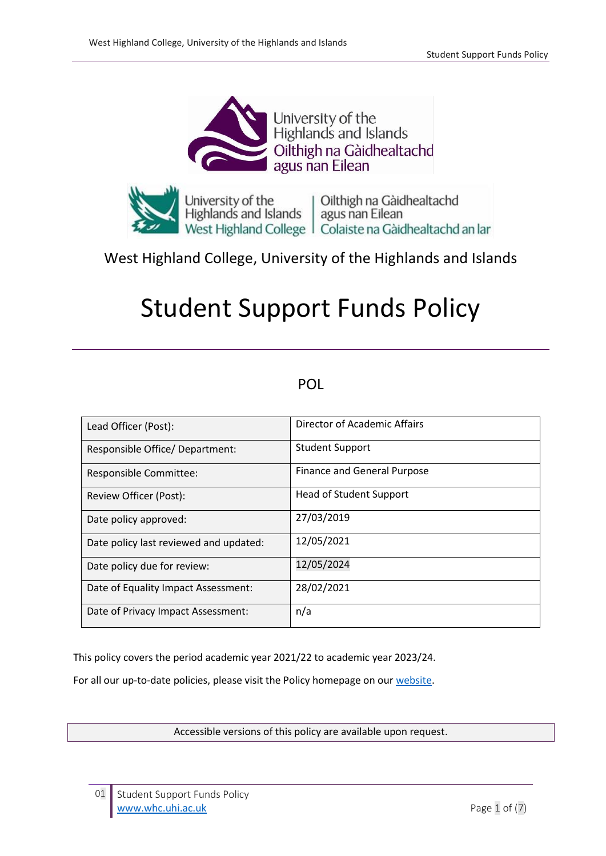



# West Highland College, University of the Highlands and Islands

# Student Support Funds Policy

# POL

| Lead Officer (Post):                   | Director of Academic Affairs       |
|----------------------------------------|------------------------------------|
| Responsible Office/ Department:        | <b>Student Support</b>             |
| Responsible Committee:                 | <b>Finance and General Purpose</b> |
| Review Officer (Post):                 | <b>Head of Student Support</b>     |
| Date policy approved:                  | 27/03/2019                         |
| Date policy last reviewed and updated: | 12/05/2021                         |
| Date policy due for review:            | 12/05/2024                         |
| Date of Equality Impact Assessment:    | 28/02/2021                         |
| Date of Privacy Impact Assessment:     | n/a                                |

This policy covers the period academic year 2021/22 to academic year 2023/24.

For all our up-to-date policies, please visit the Policy homepage on our [website.](https://www.whc.uhi.ac.uk/news/west-highland-college-uhi-works-collaboratively-in-creation-of-national-report-on-school-college-partnerships.html)

Accessible versions of this policy are available upon request.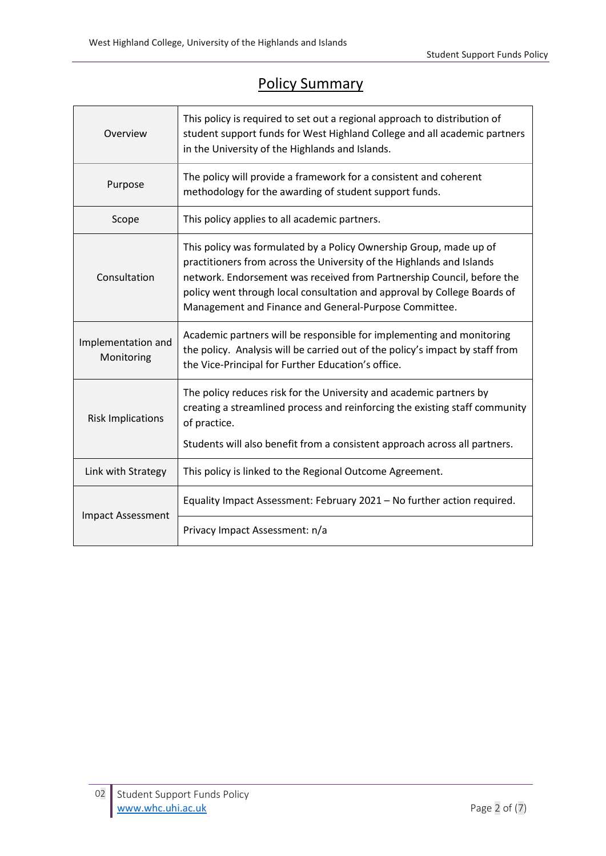# Policy Summary

| Overview                         | This policy is required to set out a regional approach to distribution of<br>student support funds for West Highland College and all academic partners<br>in the University of the Highlands and Islands.                                                                                                                                                  |  |  |
|----------------------------------|------------------------------------------------------------------------------------------------------------------------------------------------------------------------------------------------------------------------------------------------------------------------------------------------------------------------------------------------------------|--|--|
| Purpose                          | The policy will provide a framework for a consistent and coherent<br>methodology for the awarding of student support funds.                                                                                                                                                                                                                                |  |  |
| Scope                            | This policy applies to all academic partners.                                                                                                                                                                                                                                                                                                              |  |  |
| Consultation                     | This policy was formulated by a Policy Ownership Group, made up of<br>practitioners from across the University of the Highlands and Islands<br>network. Endorsement was received from Partnership Council, before the<br>policy went through local consultation and approval by College Boards of<br>Management and Finance and General-Purpose Committee. |  |  |
| Implementation and<br>Monitoring | Academic partners will be responsible for implementing and monitoring<br>the policy. Analysis will be carried out of the policy's impact by staff from<br>the Vice-Principal for Further Education's office.                                                                                                                                               |  |  |
| <b>Risk Implications</b>         | The policy reduces risk for the University and academic partners by<br>creating a streamlined process and reinforcing the existing staff community<br>of practice.<br>Students will also benefit from a consistent approach across all partners.                                                                                                           |  |  |
| Link with Strategy               | This policy is linked to the Regional Outcome Agreement.                                                                                                                                                                                                                                                                                                   |  |  |
| <b>Impact Assessment</b>         | Equality Impact Assessment: February 2021 - No further action required.                                                                                                                                                                                                                                                                                    |  |  |
|                                  | Privacy Impact Assessment: n/a                                                                                                                                                                                                                                                                                                                             |  |  |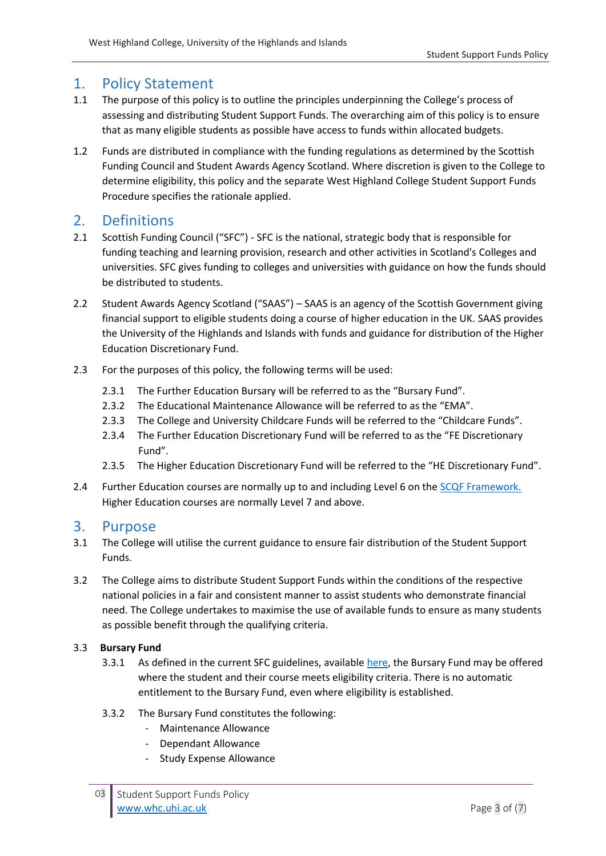# 1. Policy Statement

- 1.1 The purpose of this policy is to outline the principles underpinning the College's process of assessing and distributing Student Support Funds. The overarching aim of this policy is to ensure that as many eligible students as possible have access to funds within allocated budgets.
- 1.2 Funds are distributed in compliance with the funding regulations as determined by the Scottish Funding Council and Student Awards Agency Scotland. Where discretion is given to the College to determine eligibility, this policy and the separate West Highland College Student Support Funds Procedure specifies the rationale applied.

# 2. Definitions

- 2.1 Scottish Funding Council ("SFC") SFC is the national, strategic body that is responsible for funding teaching and learning provision, research and other activities in Scotland's Colleges and universities. SFC gives funding to colleges and universities with guidance on how the funds should be distributed to students.
- 2.2 Student Awards Agency Scotland ("SAAS") SAAS is an agency of the Scottish Government giving financial support to eligible students doing a course of higher education in the UK. SAAS provides the University of the Highlands and Islands with funds and guidance for distribution of the Higher Education Discretionary Fund.
- 2.3 For the purposes of this policy, the following terms will be used:
	- 2.3.1 The Further Education Bursary will be referred to as the "Bursary Fund".
	- 2.3.2 The Educational Maintenance Allowance will be referred to as the "EMA".
	- 2.3.3 The College and University Childcare Funds will be referred to the "Childcare Funds".
	- 2.3.4 The Further Education Discretionary Fund will be referred to as the "FE Discretionary Fund".
	- 2.3.5 The Higher Education Discretionary Fund will be referred to the "HE Discretionary Fund".
- 2.4 Further Education courses are normally up to and including Level 6 on th[e SCQF Framework.](http://scqf.org.uk/interactive-framework/) Higher Education courses are normally Level 7 and above.

## 3. Purpose

- 3.1 The College will utilise the current guidance to ensure fair distribution of the Student Support Funds.
- 3.2 The College aims to distribute Student Support Funds within the conditions of the respective national policies in a fair and consistent manner to assist students who demonstrate financial need. The College undertakes to maximise the use of available funds to ensure as many students as possible benefit through the qualifying criteria.

#### 3.3 **Bursary Fund**

- 3.3.1 As defined in the current SFC guidelines, availabl[e here,](http://www.sfc.ac.uk/publications-statistics/guidance/2020/SFCGD082020.aspx) the Bursary Fund may be offered where the student and their course meets eligibility criteria. There is no automatic entitlement to the Bursary Fund, even where eligibility is established.
- 3.3.2 The Bursary Fund constitutes the following:
	- Maintenance Allowance
	- Dependant Allowance
	- Study Expense Allowance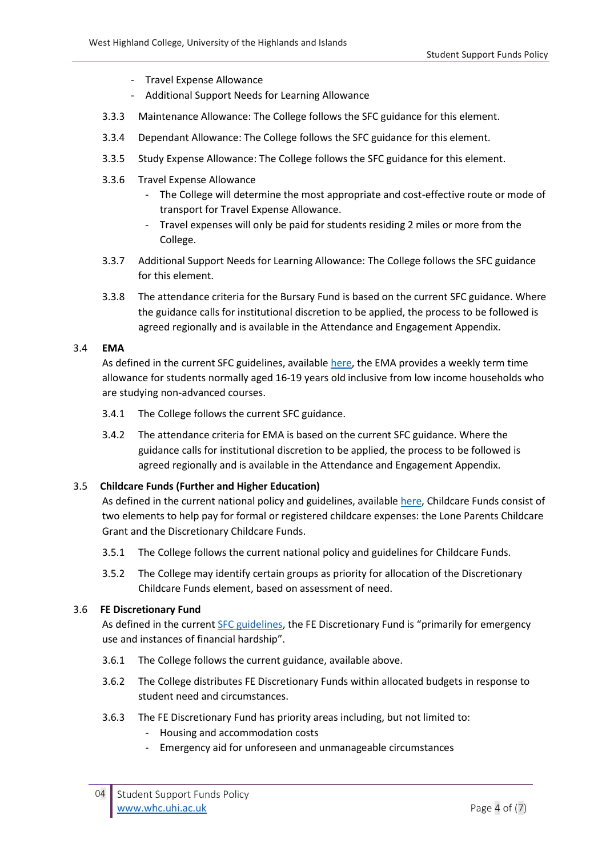- Travel Expense Allowance
- Additional Support Needs for Learning Allowance
- 3.3.3 Maintenance Allowance: The College follows the SFC guidance for this element.
- 3.3.4 Dependant Allowance: The College follows the SFC guidance for this element.
- 3.3.5 Study Expense Allowance: The College follows the SFC guidance for this element.
- 3.3.6 Travel Expense Allowance
	- The College will determine the most appropriate and cost-effective route or mode of transport for Travel Expense Allowance.
	- Travel expenses will only be paid for students residing 2 miles or more from the College.
- 3.3.7 Additional Support Needs for Learning Allowance: The College follows the SFC guidance for this element.
- 3.3.8 The attendance criteria for the Bursary Fund is based on the current SFC guidance. Where the guidance calls for institutional discretion to be applied, the process to be followed is agreed regionally and is available in the Attendance and Engagement Appendix.

#### 3.4 **EMA**

As defined in the current SFC guidelines, available [here,](http://www.sfc.ac.uk/nmsruntime/saveasdialog.aspx?lID=19981&sID=12225) the EMA provides a weekly term time allowance for students normally aged 16-19 years old inclusive from low income households who are studying non-advanced courses.

- 3.4.1 The College follows the current SFC guidance.
- 3.4.2 The attendance criteria for EMA is based on the current SFC guidance. Where the guidance calls for institutional discretion to be applied, the process to be followed is agreed regionally and is available in the Attendance and Engagement Appendix.

#### 3.5 **Childcare Funds (Further and Higher Education)**

As defined in the current national policy and guidelines, availabl[e here,](http://www.sfc.ac.uk/publications-statistics/guidance/2020/SFCGD112020.aspx) Childcare Funds consist of two elements to help pay for formal or registered childcare expenses: the Lone Parents Childcare Grant and the Discretionary Childcare Funds.

- 3.5.1 The College follows the current national policy and guidelines for Childcare Funds.
- 3.5.2 The College may identify certain groups as priority for allocation of the Discretionary Childcare Funds element, based on assessment of need.

#### 3.6 **FE Discretionary Fund**

As defined in the current [SFC guidelines,](http://www.sfc.ac.uk/publications-statistics/guidance/2020/SFCGD102020.aspx) the FE Discretionary Fund is "primarily for emergency use and instances of financial hardship".

- 3.6.1 The College follows the current guidance, available above.
- 3.6.2 The College distributes FE Discretionary Funds within allocated budgets in response to student need and circumstances.
- 3.6.3 The FE Discretionary Fund has priority areas including, but not limited to:
	- Housing and accommodation costs
	- Emergency aid for unforeseen and unmanageable circumstances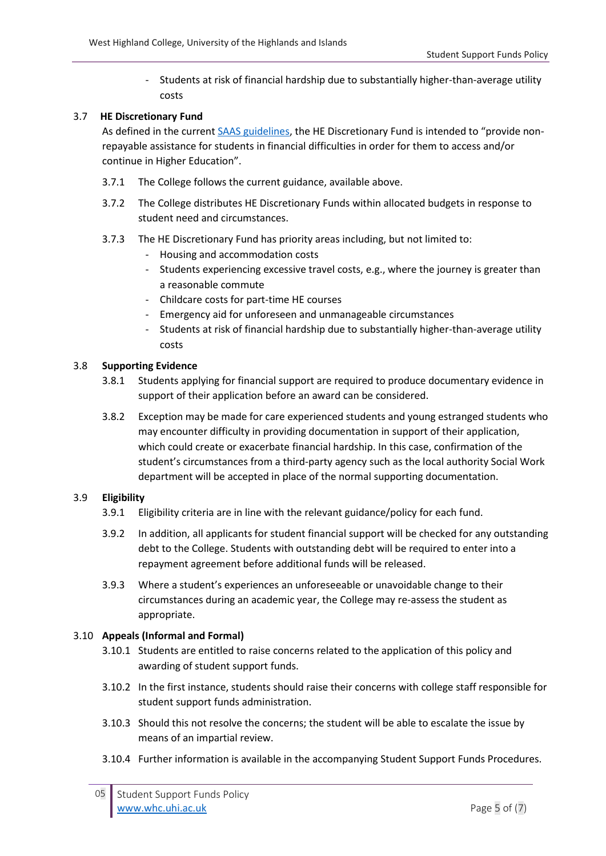- Students at risk of financial hardship due to substantially higher-than-average utility costs

#### 3.7 **HE Discretionary Fund**

As defined in the current [SAAS guidelines](https://saas.gov.uk/files/310/saas-discretionary-fund-guidance.pdf), the HE Discretionary Fund is intended to "provide nonrepayable assistance for students in financial difficulties in order for them to access and/or continue in Higher Education".

- 3.7.1 The College follows the current guidance, available above.
- 3.7.2 The College distributes HE Discretionary Funds within allocated budgets in response to student need and circumstances.
- 3.7.3 The HE Discretionary Fund has priority areas including, but not limited to:
	- Housing and accommodation costs
	- Students experiencing excessive travel costs, e.g., where the journey is greater than a reasonable commute
	- Childcare costs for part-time HE courses
	- Emergency aid for unforeseen and unmanageable circumstances
	- Students at risk of financial hardship due to substantially higher-than-average utility costs

#### 3.8 **Supporting Evidence**

- 3.8.1 Students applying for financial support are required to produce documentary evidence in support of their application before an award can be considered.
- 3.8.2 Exception may be made for care experienced students and young estranged students who may encounter difficulty in providing documentation in support of their application, which could create or exacerbate financial hardship. In this case, confirmation of the student's circumstances from a third-party agency such as the local authority Social Work department will be accepted in place of the normal supporting documentation.

#### 3.9 **Eligibility**

- 3.9.1 Eligibility criteria are in line with the relevant guidance/policy for each fund.
- 3.9.2 In addition, all applicants for student financial support will be checked for any outstanding debt to the College. Students with outstanding debt will be required to enter into a repayment agreement before additional funds will be released.
- 3.9.3 Where a student's experiences an unforeseeable or unavoidable change to their circumstances during an academic year, the College may re-assess the student as appropriate.

#### 3.10 **Appeals (Informal and Formal)**

- 3.10.1 Students are entitled to raise concerns related to the application of this policy and awarding of student support funds.
- 3.10.2 In the first instance, students should raise their concerns with college staff responsible for student support funds administration.
- 3.10.3 Should this not resolve the concerns; the student will be able to escalate the issue by means of an impartial review.
- 3.10.4 Further information is available in the accompanying Student Support Funds Procedures.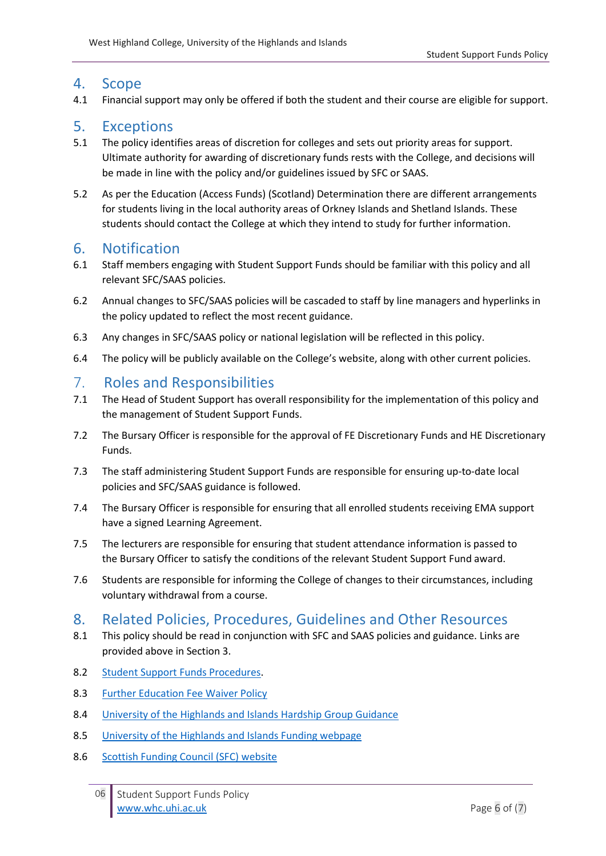## 4. Scope

4.1 Financial support may only be offered if both the student and their course are eligible for support.

## 5. Exceptions

- 5.1 The policy identifies areas of discretion for colleges and sets out priority areas for support. Ultimate authority for awarding of discretionary funds rests with the College, and decisions will be made in line with the policy and/or guidelines issued by SFC or SAAS.
- 5.2 As per the Education (Access Funds) (Scotland) Determination there are different arrangements for students living in the local authority areas of Orkney Islands and Shetland Islands. These students should contact the College at which they intend to study for further information.

# 6. Notification

- 6.1 Staff members engaging with Student Support Funds should be familiar with this policy and all relevant SFC/SAAS policies.
- 6.2 Annual changes to SFC/SAAS policies will be cascaded to staff by line managers and hyperlinks in the policy updated to reflect the most recent guidance.
- 6.3 Any changes in SFC/SAAS policy or national legislation will be reflected in this policy.
- 6.4 The policy will be publicly available on the College's website, along with other current policies.

# 7. Roles and Responsibilities

- 7.1 The Head of Student Support has overall responsibility for the implementation of this policy and the management of Student Support Funds.
- 7.2 The Bursary Officer is responsible for the approval of FE Discretionary Funds and HE Discretionary Funds.
- 7.3 The staff administering Student Support Funds are responsible for ensuring up-to-date local policies and SFC/SAAS guidance is followed.
- 7.4 The Bursary Officer is responsible for ensuring that all enrolled students receiving EMA support have a signed Learning Agreement.
- 7.5 The lecturers are responsible for ensuring that student attendance information is passed to the Bursary Officer to satisfy the conditions of the relevant Student Support Fund award.
- 7.6 Students are responsible for informing the College of changes to their circumstances, including voluntary withdrawal from a course.

# 8. Related Policies, Procedures, Guidelines and Other Resources

- 8.1 This policy should be read in conjunction with SFC and SAAS policies and guidance. Links are provided above in Section 3.
- 8.2 Student Support Funds Procedures.
- 8.3 [Further Education Fee Waiver Policy](https://staff.whc.uhi.ac.uk/Downloads/All-Policies/UHI_wide_policies/UHI-Fee-Waiver.pdf)
- 8.4 [University of the Highlands and Islands Hardship Group Guidance](https://www.uhi.ac.uk/en/t4-media/one-web/university/study-at-uhi/funding/bursaries-and-special-funds/discretionary-hardship-funds-guidance.docx)
- 8.5 [University of the Highlands and Islands Funding webpage](https://www.uhi.ac.uk/en/studying-at-uhi/first-steps/how-much-will-it-cost/funding-your-studies/)
- 8.6 [Scottish Funding Council \(SFC\) website](http://www.sfc.ac.uk/)